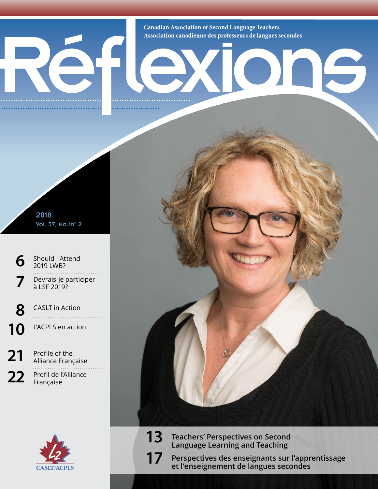**Canadian Association of Second Language Teachers Association canadienne des professeurs de langues secondes**

15

2018 Vol. 37, No./n° 2

**[6](#page--1-0)** Should I Attend [2019 LWB?](#page--1-0) **7** Devrais-je participer à LSF 2019? **[8](#page--1-1)** [CASLT in Action](#page--1-1)

10 L'ACPLS en action

21 Profile of the<br>Alliance Française 22 Profil de l'Alliance Française



**13 Teachers' Perspectives on Second Language Learning and Teaching 17 Perspectives des enseignants sur l'apprentissage** 

**et l'enseignement de langues secondes**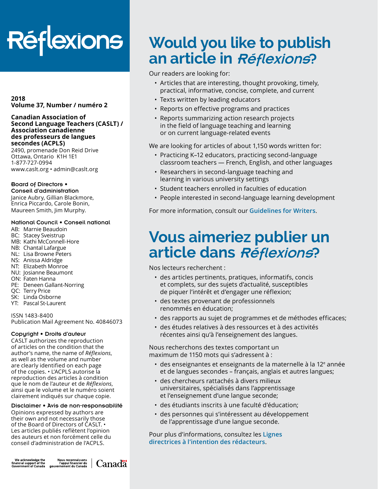# **Réflexions**

**2018 Volume 37, Number / numéro 2**

#### **Canadian Association of Second Language Teachers (CASLT) / Association canadienne des professeurs de langues secondes (ACPLS)**

2490, promenade Don Reid Drive Ottawa, Ontario K1H 1E1 1-877-727-0994 [www.caslt.org](http://www.caslt.org) • [admin@caslt.org](mailto:admin%40caslt.org?subject=)

#### Board of Directors •

Conseil d'administration Janice Aubry, Gillian Blackmore, Enrica Piccardo, Carole Bonin, Maureen Smith, Jim Murphy.

#### National Council • Conseil national

- AB: Marnie Beaudoin
- BC: Stacey Sveistrup
- MB: Kathi McConnell-Hore
- NB: Chantal Lafargue
- NL: Lisa Browne Peters
- NS: Anissa Aldridge
- NT: Elizabeth Monroe
- NU: Josianne Beaumont
- ON: Faten Hanna
- PE: Deneen Gallant-Norring
- QC: Terry Price
- SK: Linda Osborne
- YT: Pascal St-Laurent

ISSN 1483-8400 Publication Mail Agreement No. 40846073

#### Copyright • Droits d'auteur

CASLT authorizes the reproduction of articles on the condition that the author's name, the name of *Réflexions*, as well as the volume and number are clearly identified on each page of the copies. • L'ACPLS autorise la reproduction des articles à condition que le nom de l'auteur et de *Réflexions*, ainsi que le volume et le numéro soient clairement indiqués sur chaque copie.

### Disclaimer • Avis de non-responsabilité

Opinions expressed by authors are their own and not necessarily those of the Board of Directors of CASLT. • Les articles publiés reflètent l'opinion des auteurs et non forcément celle du conseil d'administration de l'ACPLS.

We acknowledge the<br>financial support of the<br>Government of Canada



### **Would you like to publish an article in** Réflexions?

#### Our readers are looking for:

- Articles that are interesting, thought provoking, timely, practical, informative, concise, complete, and current
- Texts written by leading educators
- Reports on effective programs and practices
- Reports summarizing action research projects in the field of language teaching and learning or on current language-related events

We are looking for articles of about 1,150 words written for:

- Practicing K–12 educators, practicing second-language classroom teachers — French, English, and other languages
- Researchers in second-language teaching and learning in various university settings
- Student teachers enrolled in faculties of education
- People interested in second-language learning development

For more information, consult our **[Guidelines for Writers](https://www.caslt.org/en/general-information/media-en/reflexions/guidelines-for-writers)**.

### **Vous aimeriez publier un article dans** Réflexions?

Nos lecteurs recherchent :

- des articles pertinents, pratiques, informatifs, concis et complets, sur des sujets d'actualité, susceptibles de piquer l'intérêt et d'engager une réflexion;
- des textes provenant de professionnels renommés en éducation;
- des rapports au sujet de programmes et de méthodes efficaces;
- des études relatives à des ressources et à des activités récentes ainsi qu'à l'enseignement des langues.

Nous recherchons des textes comportant un maximum de 1150 mots qui s'adressent à :

- $\cdot$  des enseignantes et enseignants de la maternelle à la 12<sup>e</sup> année et de langues secondes – français, anglais et autres langues;
- des chercheurs rattachés à divers milieux universitaires, spécialisés dans l'apprentissage et l'enseignement d'une langue seconde;
- des étudiants inscrits à une faculté d'éducation;
- des personnes qui s'intéressent au développement de l'apprentissage d'une langue seconde.

Pour plus d'informations, consultez les **[Lignes](https://www.caslt.org/fr/information-generale/media-fr/reflexions/lignes-directrices-a-l-intention-des-redacteurs)  [directrices à l'intention des rédacteurs](https://www.caslt.org/fr/information-generale/media-fr/reflexions/lignes-directrices-a-l-intention-des-redacteurs)**.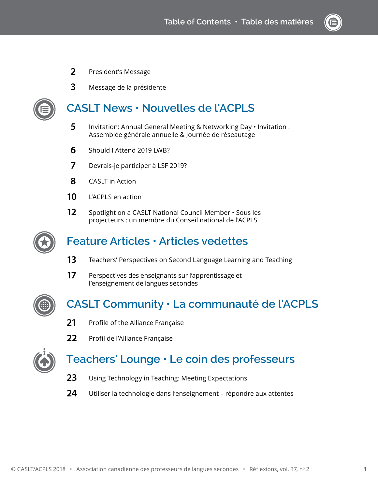- President's Message
- Message de la présidente



### **CASLT News • Nouvelles de l'ACPLS**

- [Invitation: Annual General Meeting & Networking Day](#page--1-2)  Invitation : Assemblée générale annuelle & Journée de réseautage
- [Should I Attend 2019 LWB?](#page--1-0)
- Devrais-je participer à LSF 2019?
- [CASLT in Action](#page--1-1)
- L'ACPLS en action
- [Spotlight on a CASLT National Council Member](#page--1-1) Sous les projecteurs : un membre du Conseil national de l'ACPLS



### **Feature Articles • Articles vedettes**

- Teachers' Perspectives on Second Language Learning and Teaching
- Perspectives des enseignants sur l'apprentissage et l'enseignement de langues secondes



### **CASLT Community • La communauté de l'ACPLS**

- Profile of the Alliance Française
- Profil de l'Alliance Française



### **Teachers' Lounge • Le coin des professeurs**

- [Using Technology in Teaching: Meeting Expectations](#page--1-1)
- [Utiliser la technologie dans l'enseignement répondre aux attentes](#page--1-3)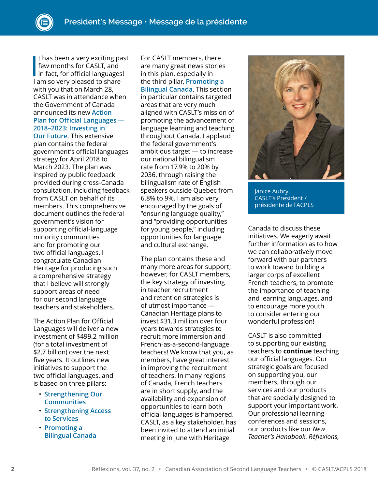I thas been a very exciting pas<br>few months for CASLT, and<br>in fact, for official languages!<br>I am so yory ploased to share t has been a very exciting past few months for CASLT, and I am so very pleased to share with you that on March 28, CASLT was in attendance when the Government of Canada announced its new **[Action](https://www.canada.ca/en/canadian-heritage/services/official-languages-bilingualism/official-languages-action-plan/2018-2023.html)  [Plan for Official Languages —](https://www.canada.ca/en/canadian-heritage/services/official-languages-bilingualism/official-languages-action-plan/2018-2023.html)** 

### **[2018–2023: Investing in](https://www.canada.ca/en/canadian-heritage/services/official-languages-bilingualism/official-languages-action-plan/2018-2023.html)**

**[Our Future](https://www.canada.ca/en/canadian-heritage/services/official-languages-bilingualism/official-languages-action-plan/2018-2023.html)**. This extensive plan contains the federal government's official languages strategy for April 2018 to March 2023. The plan was inspired by public feedback provided during cross-Canada consultation, including feedback from CASLT on behalf of its members. This comprehensive document outlines the federal government's vision for supporting official-language minority communities and for promoting our two official languages. I congratulate Canadian Heritage for producing such a comprehensive strategy that I believe will strongly support areas of need for our second language teachers and stakeholders.

The Action Plan for Official Languages will deliver a new investment of \$499.2 million (for a total investment of \$2.7 billion) over the next five years. It outlines new initiatives to support the two official languages, and is based on three pillars:

- **[Strengthening Our](https://www.canada.ca/en/canadian-heritage/services/official-languages-bilingualism/official-languages-action-plan/2018-2023.html#a9)  [Communities](https://www.canada.ca/en/canadian-heritage/services/official-languages-bilingualism/official-languages-action-plan/2018-2023.html#a9)**
- **[Strengthening Access](https://www.canada.ca/en/canadian-heritage/services/official-languages-bilingualism/official-languages-action-plan/2018-2023.html#a10)  [to Services](https://www.canada.ca/en/canadian-heritage/services/official-languages-bilingualism/official-languages-action-plan/2018-2023.html#a10)**
- **[Promoting a](https://www.canada.ca/en/canadian-heritage/services/official-languages-bilingualism/official-languages-action-plan/2018-2023.html#a11)  [Bilingual Canada](https://www.canada.ca/en/canadian-heritage/services/official-languages-bilingualism/official-languages-action-plan/2018-2023.html#a11)**

For CASLT members, there are many great news stories in this plan, especially in the third pillar, **[Promoting a](https://www.canada.ca/en/canadian-heritage/services/official-languages-bilingualism/official-languages-action-plan/2018-2023.html#a11)  [Bilingual Canada](https://www.canada.ca/en/canadian-heritage/services/official-languages-bilingualism/official-languages-action-plan/2018-2023.html#a11)**. This section in particular contains targeted areas that are very much aligned with CASLT's mission of promoting the advancement of language learning and teaching throughout Canada. I applaud the federal government's ambitious target — to increase our national bilingualism rate from 17.9% to 20% by 2036, through raising the bilingualism rate of English speakers outside Quebec from 6.8% to 9%. I am also very encouraged by the goals of "ensuring language quality," and "providing opportunities for young people," including opportunities for language and cultural exchange.

The plan contains these and many more areas for support; however, for CASLT members, the key strategy of investing in teacher recruitment and retention strategies is of utmost importance — Canadian Heritage plans to invest \$31.3 million over four years towards strategies to recruit more immersion and French-as-a-second-language teachers! We know that you, as members, have great interest in improving the recruitment of teachers. In many regions of Canada, French teachers are in short supply, and the availability and expansion of opportunities to learn both official languages is hampered. CASLT, as a key stakeholder, has been invited to attend an initial meeting in June with Heritage



Janice Aubry, CASLT's President / présidente de l'ACPLS

Canada to discuss these initiatives. We eagerly await further information as to how we can collaboratively move forward with our partners to work toward building a larger corps of excellent French teachers, to promote the importance of teaching and learning languages, and to encourage more youth to consider entering our wonderful profession!

CASLT is also committed to supporting our existing teachers to **continue** teaching our official languages. Our strategic goals are focused on supporting you, our members, through our services and our products that are specially designed to support your important work. Our professional learning conferences and sessions, our products like our *New Teacher's Handbook*, *Réflexions,*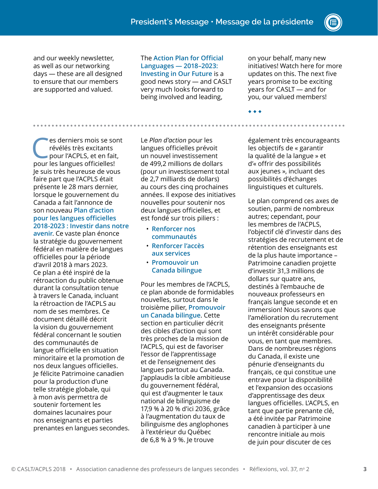and our weekly newsletter, as well as our networking days — these are all designed to ensure that our members are supported and valued.

The **[Action Plan for Official](https://www.canada.ca/en/canadian-heritage/services/official-languages-bilingualism/official-languages-action-plan/2018-2023.html)  [Languages — 2018–2023:](https://www.canada.ca/en/canadian-heritage/services/official-languages-bilingualism/official-languages-action-plan/2018-2023.html)  [Investing in Our Future](https://www.canada.ca/en/canadian-heritage/services/official-languages-bilingualism/official-languages-action-plan/2018-2023.html)** is a good news story — and CASLT very much looks forward to being involved and leading,

on your behalf, many new initiatives! Watch here for more updates on this. The next five years promise to be exciting years for CASLT — and for you, our valued members!

◆ ◆ ◆

Ces derniers mois se sont<br>
révélés très excitants<br>
pour l'ACPLS, et en fait,<br>
pour les langues officielles! révélés très excitants pour les langues officielles! Je suis très heureuse de vous faire part que l'ACPLS était présente le 28 mars dernier, lorsque le gouvernement du Canada a fait l'annonce de son nouveau **[Plan d'action](https://www.canada.ca/fr/patrimoine-canadien/nouvelles/2018/05/le-plan-daction-pour-les-langues-officielles-2018-2023--investir-dans-notre-avenir-represente-le-plus-important-investissement-federal-de-notre-his.html)  [pour les langues officielles](https://www.canada.ca/fr/patrimoine-canadien/nouvelles/2018/05/le-plan-daction-pour-les-langues-officielles-2018-2023--investir-dans-notre-avenir-represente-le-plus-important-investissement-federal-de-notre-his.html)  [2018-2023 : Investir dans notre](https://www.canada.ca/fr/patrimoine-canadien/nouvelles/2018/05/le-plan-daction-pour-les-langues-officielles-2018-2023--investir-dans-notre-avenir-represente-le-plus-important-investissement-federal-de-notre-his.html)** 

**[avenir](https://www.canada.ca/fr/patrimoine-canadien/nouvelles/2018/05/le-plan-daction-pour-les-langues-officielles-2018-2023--investir-dans-notre-avenir-represente-le-plus-important-investissement-federal-de-notre-his.html)**. Ce vaste plan énonce la stratégie du gouvernement fédéral en matière de langues officielles pour la période d'avril 2018 à mars 2023. Ce plan a été inspiré de la rétroaction du public obtenue durant la consultation tenue à travers le Canada, incluant la rétroaction de l'ACPLS au nom de ses membres. Ce document détaillé décrit la vision du gouvernement fédéral concernant le soutien des communautés de langue officielle en situation minoritaire et la promotion de nos deux langues officielles. Je félicite Patrimoine canadien pour la production d'une telle stratégie globale, qui à mon avis permettra de soutenir fortement les domaines lacunaires pour nos enseignants et parties prenantes en langues secondes. Le *Plan d'action* pour les langues officielles prévoit un nouvel investissement de 499,2 millions de dollars (pour un investissement total de 2,7 milliards de dollars) au cours des cinq prochaines années. Il expose des initiatives nouvelles pour soutenir nos deux langues officielles, et est fondé sur trois piliers :

• **[Renforcer nos](https://www.canada.ca/fr/patrimoine-canadien/services/langues-officielles-bilinguisme/plan-action-langues-officielles/2018-2023.html#a9)  [communautés](https://www.canada.ca/fr/patrimoine-canadien/services/langues-officielles-bilinguisme/plan-action-langues-officielles/2018-2023.html#a9)**

. . . . . . . . . .

- **[Renforcer l'accès](https://www.canada.ca/fr/patrimoine-canadien/services/langues-officielles-bilinguisme/plan-action-langues-officielles/2018-2023.html#a10)  [aux services](https://www.canada.ca/fr/patrimoine-canadien/services/langues-officielles-bilinguisme/plan-action-langues-officielles/2018-2023.html#a10)**
- **[Promouvoir un](https://www.canada.ca/fr/patrimoine-canadien/services/langues-officielles-bilinguisme/plan-action-langues-officielles/2018-2023.html#a11)  [Canada bilingue](https://www.canada.ca/fr/patrimoine-canadien/services/langues-officielles-bilinguisme/plan-action-langues-officielles/2018-2023.html#a11)**

Pour les membres de l'ACPLS, ce plan abonde de formidables nouvelles, surtout dans le troisième pilier, **[Promouvoir](https://www.canada.ca/fr/patrimoine-canadien/services/langues-officielles-bilinguisme/plan-action-langues-officielles/2018-2023.html#a11)  [un Canada bilingue](https://www.canada.ca/fr/patrimoine-canadien/services/langues-officielles-bilinguisme/plan-action-langues-officielles/2018-2023.html#a11)**. Cette section en particulier décrit des cibles d'action qui sont très proches de la mission de l'ACPLS, qui est de favoriser l'essor de l'apprentissage et de l'enseignement des langues partout au Canada. J'applaudis la cible ambitieuse du gouvernement fédéral, qui est d'augmenter le taux national de bilinguisme de 17,9 % à 20 % d'ici 2036, grâce à l'augmentation du taux de bilinguisme des anglophones à l'extérieur du Québec de 6,8 % à 9 %. Je trouve

également très encourageants les objectifs de « garantir la qualité de la langue » et d'« offrir des possibilités aux jeunes », incluant des possibilités d'échanges linguistiques et culturels.

Le plan comprend ces axes de soutien, parmi de nombreux autres; cependant, pour les membres de l'ACPLS, l'objectif clé d'investir dans des stratégies de recrutement et de rétention des enseignants est de la plus haute importance – Patrimoine canadien projette d'investir 31,3 millions de dollars sur quatre ans, destinés à l'embauche de nouveaux professeurs en français langue seconde et en immersion! Nous savons que l'amélioration du recrutement des enseignants présente un intérêt considérable pour vous, en tant que membres. Dans de nombreuses régions du Canada, il existe une pénurie d'enseignants du français, ce qui constitue une entrave pour la disponibilité et l'expansion des occasions d'apprentissage des deux langues officielles. L'ACPLS, en tant que partie prenante clé, a été invitée par Patrimoine canadien à participer à une rencontre initiale au mois de juin pour discuter de ces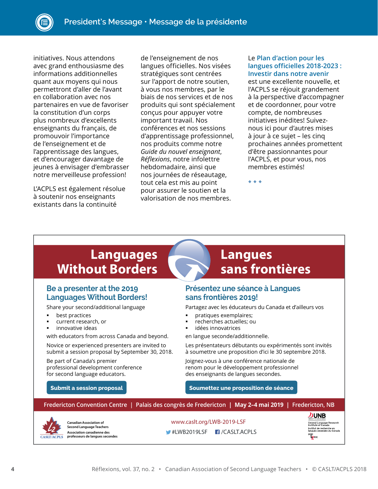initiatives. Nous attendons avec grand enthousiasme des informations additionnelles quant aux moyens qui nous permettront d'aller de l'avant en collaboration avec nos partenaires en vue de favoriser la constitution d'un corps plus nombreux d'excellents enseignants du français, de promouvoir l'importance de l'enseignement et de l'apprentissage des langues, et d'encourager davantage de jeunes à envisager d'embrasser notre merveilleuse profession!

L'ACPLS est également résolue à soutenir nos enseignants existants dans la continuité

de l'enseignement de nos langues officielles. Nos visées stratégiques sont centrées sur l'apport de notre soutien, à vous nos membres, par le biais de nos services et de nos produits qui sont spécialement conçus pour appuyer votre important travail. Nos conférences et nos sessions d'apprentissage professionnel, nos produits comme notre *Guide du nouvel enseignant*, *Réflexions*, notre infolettre hebdomadaire, ainsi que nos journées de réseautage, tout cela est mis au point pour assurer le soutien et la valorisation de nos membres.

#### Le **[Plan d'action pour les](https://www.canada.ca/fr/patrimoine-canadien/nouvelles/2018/05/le-plan-daction-pour-les-langues-officielles-2018-2023--investir-dans-notre-avenir-represente-le-plus-important-investissement-federal-de-notre-his.html)  [langues officielles 2018-2023 :](https://www.canada.ca/fr/patrimoine-canadien/nouvelles/2018/05/le-plan-daction-pour-les-langues-officielles-2018-2023--investir-dans-notre-avenir-represente-le-plus-important-investissement-federal-de-notre-his.html)  [Investir dans notre avenir](https://www.canada.ca/fr/patrimoine-canadien/nouvelles/2018/05/le-plan-daction-pour-les-langues-officielles-2018-2023--investir-dans-notre-avenir-represente-le-plus-important-investissement-federal-de-notre-his.html)**

est une excellente nouvelle, et l'ACPLS se réjouit grandement à la perspective d'accompagner et de coordonner, pour votre compte, de nombreuses initiatives inédites! Suiveznous ici pour d'autres mises à jour à ce sujet – les cinq prochaines années promettent d'être passionnantes pour l'ACPLS, et pour vous, nos membres estimés!

◆ ◆ ◆

### **Languages Without Borders**

#### **Be a presenter at the 2019 Languages Without Borders!**

Share your second/additional language

- best practices
- current research, or
- innovative ideas

with educators from across Canada and beyond.

Novice or experienced presenters are invited to submit a session proposal by September 30, 2018.

Be part of Canada's premier professional development conference for second language educators.

### **Langues sans frontières**

#### **Présentez une séance à Langues sans frontières 2019!**

Partagez avec les éducateurs du Canada et d'ailleurs vos

- pratiques exemplaires;
- recherches actuelles; ou
- idées innovatrices

en langue seconde/additionnelle.

Les présentateurs débutants ou expérimentés sont invités à soumettre une proposition d'ici le 30 septembre 2018.

Joignez-vous à une conférence nationale de renom pour le développement professionnel des enseignants de langues secondes.

**[Submit a session proposal](https://www.caslt.org/en/professional-development/workshops-professional-learning/lwb/call-for-proposals) [Soumettez une proposition de séance](https://www.caslt.org/fr/perfectionnement-professionnel/ateliers-apprentissage-professionnel/lsf/appel-de-propositions)**

| Fredericton Convention Centre   Palais des congrès de Fredericton   May 2-4 mai 2019   Fredericton, NB |                                                                      |                            |                                                                 |                                                                       |
|--------------------------------------------------------------------------------------------------------|----------------------------------------------------------------------|----------------------------|-----------------------------------------------------------------|-----------------------------------------------------------------------|
| 12<br><b>CASLT/ACPLS</b>                                                                               | <b>Canadian Association of</b><br><b>Second Language Teachers</b>    | www.caslt.org/LWB-2019-LSF |                                                                 | <b>DUNB</b><br>Second Language Research<br>Institute of Canada        |
|                                                                                                        | <b>Association canadienne des</b><br>professeurs de langues secondes |                            | $\blacktriangleright$ #LWB2019LSF $\blacksquare$ / CASLT. ACPLS | Institut de recherche en<br>langues secondes du Canada<br>RIC<br>PRIC |